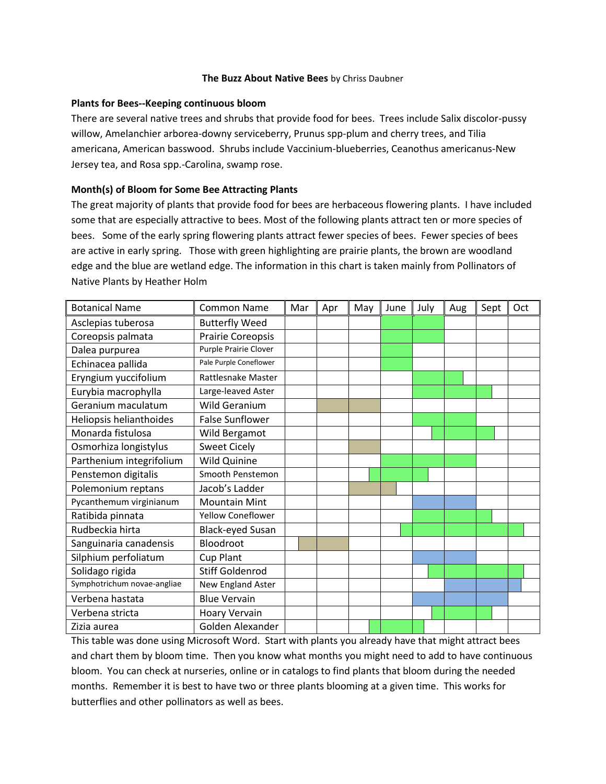#### **The Buzz About Native Bees** by Chriss Daubner

#### **Plants for Bees--Keeping continuous bloom**

There are several native trees and shrubs that provide food for bees. Trees include Salix discolor-pussy willow, Amelanchier arborea-downy serviceberry, Prunus spp-plum and cherry trees, and Tilia americana, American basswood. Shrubs include Vaccinium-blueberries, Ceanothus americanus-New Jersey tea, and Rosa spp.-Carolina, swamp rose.

## **Month(s) of Bloom for Some Bee Attracting Plants**

The great majority of plants that provide food for bees are herbaceous flowering plants. I have included some that are especially attractive to bees. Most of the following plants attract ten or more species of bees. Some of the early spring flowering plants attract fewer species of bees. Fewer species of bees are active in early spring.Those with green highlighting are prairie plants, the brown are woodland edge and the blue are wetland edge. The information in this chart is taken mainly from Pollinators of Native Plants by Heather Holm

| <b>Botanical Name</b>       | <b>Common Name</b>       | Mar | Apr | May | June | July | Aug | Sept | Oct |
|-----------------------------|--------------------------|-----|-----|-----|------|------|-----|------|-----|
| Asclepias tuberosa          | <b>Butterfly Weed</b>    |     |     |     |      |      |     |      |     |
| Coreopsis palmata           | <b>Prairie Coreopsis</b> |     |     |     |      |      |     |      |     |
| Dalea purpurea              | Purple Prairie Clover    |     |     |     |      |      |     |      |     |
| Echinacea pallida           | Pale Purple Coneflower   |     |     |     |      |      |     |      |     |
| Eryngium yuccifolium        | Rattlesnake Master       |     |     |     |      |      |     |      |     |
| Eurybia macrophylla         | Large-leaved Aster       |     |     |     |      |      |     |      |     |
| Geranium maculatum          | Wild Geranium            |     |     |     |      |      |     |      |     |
| Heliopsis helianthoides     | <b>False Sunflower</b>   |     |     |     |      |      |     |      |     |
| Monarda fistulosa           | Wild Bergamot            |     |     |     |      |      |     |      |     |
| Osmorhiza longistylus       | <b>Sweet Cicely</b>      |     |     |     |      |      |     |      |     |
| Parthenium integrifolium    | Wild Quinine             |     |     |     |      |      |     |      |     |
| Penstemon digitalis         | Smooth Penstemon         |     |     |     |      |      |     |      |     |
| Polemonium reptans          | Jacob's Ladder           |     |     |     |      |      |     |      |     |
| Pycanthemum virginianum     | <b>Mountain Mint</b>     |     |     |     |      |      |     |      |     |
| Ratibida pinnata            | <b>Yellow Coneflower</b> |     |     |     |      |      |     |      |     |
| Rudbeckia hirta             | <b>Black-eyed Susan</b>  |     |     |     |      |      |     |      |     |
| Sanguinaria canadensis      | Bloodroot                |     |     |     |      |      |     |      |     |
| Silphium perfoliatum        | Cup Plant                |     |     |     |      |      |     |      |     |
| Solidago rigida             | <b>Stiff Goldenrod</b>   |     |     |     |      |      |     |      |     |
| Symphotrichum novae-angliae | New England Aster        |     |     |     |      |      |     |      |     |
| Verbena hastata             | <b>Blue Vervain</b>      |     |     |     |      |      |     |      |     |
| Verbena stricta             | Hoary Vervain            |     |     |     |      |      |     |      |     |
| Zizia aurea                 | Golden Alexander         |     |     |     |      |      |     |      |     |

This table was done using Microsoft Word. Start with plants you already have that might attract bees and chart them by bloom time. Then you know what months you might need to add to have continuous bloom. You can check at nurseries, online or in catalogs to find plants that bloom during the needed months. Remember it is best to have two or three plants blooming at a given time. This works for butterflies and other pollinators as well as bees.